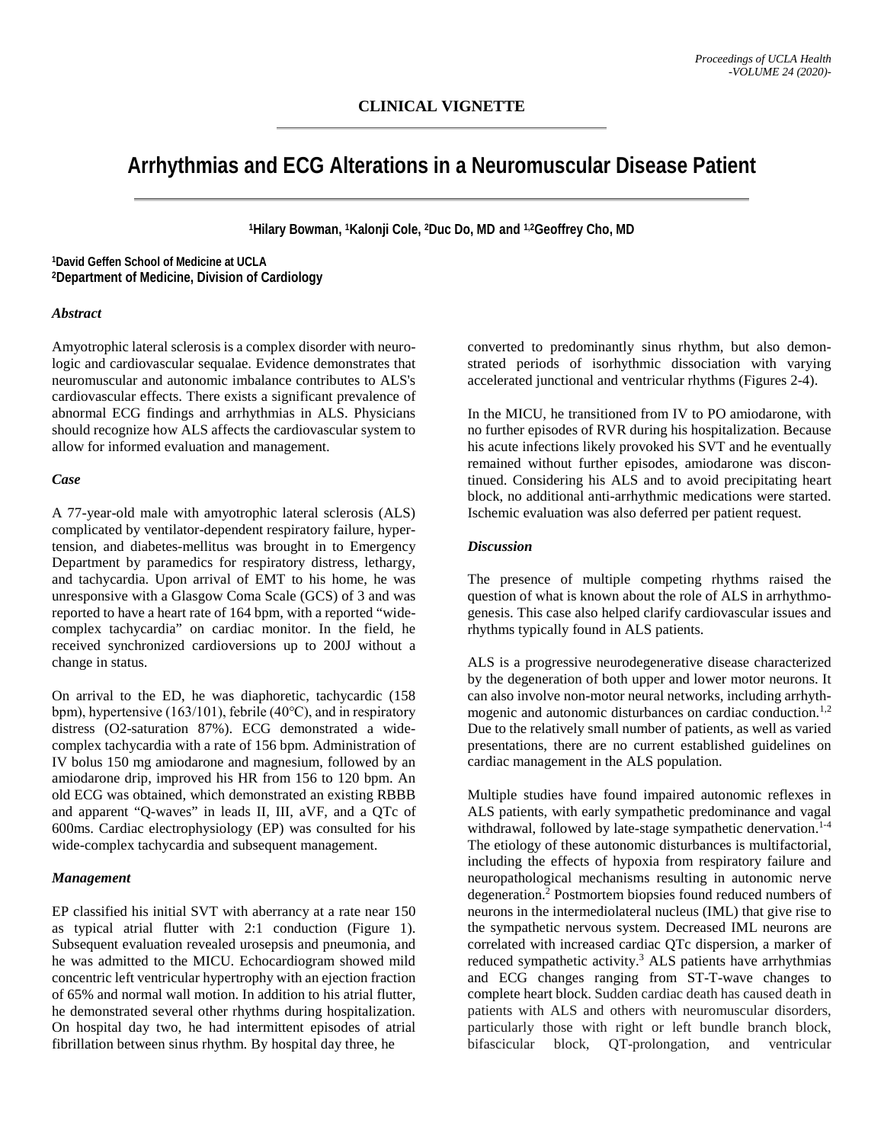# **Arrhythmias and ECG Alterations in a Neuromuscular Disease Patient**

**1Hilary Bowman, 1Kalonji Cole, 2Duc Do, MD and 1,2Geoffrey Cho, MD**

**1David Geffen School of Medicine at UCLA 2Department of Medicine, Division of Cardiology** 

#### *Abstract*

Amyotrophic lateral sclerosis is a complex disorder with neurologic and cardiovascular sequalae. Evidence demonstrates that neuromuscular and autonomic imbalance contributes to ALS's cardiovascular effects. There exists a significant prevalence of abnormal ECG findings and arrhythmias in ALS. Physicians should recognize how ALS affects the cardiovascular system to allow for informed evaluation and management.

#### *Case*

A 77-year-old male with amyotrophic lateral sclerosis (ALS) complicated by ventilator-dependent respiratory failure, hypertension, and diabetes-mellitus was brought in to Emergency Department by paramedics for respiratory distress, lethargy, and tachycardia. Upon arrival of EMT to his home, he was unresponsive with a Glasgow Coma Scale (GCS) of 3 and was reported to have a heart rate of 164 bpm, with a reported "widecomplex tachycardia" on cardiac monitor. In the field, he received synchronized cardioversions up to 200J without a change in status.

On arrival to the ED, he was diaphoretic, tachycardic (158 bpm), hypertensive (163/101), febrile (40℃), and in respiratory distress (O2-saturation 87%). ECG demonstrated a widecomplex tachycardia with a rate of 156 bpm. Administration of IV bolus 150 mg amiodarone and magnesium, followed by an amiodarone drip, improved his HR from 156 to 120 bpm. An old ECG was obtained, which demonstrated an existing RBBB and apparent "Q-waves" in leads II, III, aVF, and a QTc of 600ms. Cardiac electrophysiology (EP) was consulted for his wide-complex tachycardia and subsequent management.

### *Management*

EP classified his initial SVT with aberrancy at a rate near 150 as typical atrial flutter with 2:1 conduction (Figure 1). Subsequent evaluation revealed urosepsis and pneumonia, and he was admitted to the MICU. Echocardiogram showed mild concentric left ventricular hypertrophy with an ejection fraction of 65% and normal wall motion. In addition to his atrial flutter, he demonstrated several other rhythms during hospitalization. On hospital day two, he had intermittent episodes of atrial fibrillation between sinus rhythm. By hospital day three, he

converted to predominantly sinus rhythm, but also demonstrated periods of isorhythmic dissociation with varying accelerated junctional and ventricular rhythms (Figures 2-4).

In the MICU, he transitioned from IV to PO amiodarone, with no further episodes of RVR during his hospitalization. Because his acute infections likely provoked his SVT and he eventually remained without further episodes, amiodarone was discontinued. Considering his ALS and to avoid precipitating heart block, no additional anti-arrhythmic medications were started. Ischemic evaluation was also deferred per patient request.

## *Discussion*

The presence of multiple competing rhythms raised the question of what is known about the role of ALS in arrhythmogenesis. This case also helped clarify cardiovascular issues and rhythms typically found in ALS patients.

ALS is a progressive neurodegenerative disease characterized by the degeneration of both upper and lower motor neurons. It can also involve non-motor neural networks, including arrhythmogenic and autonomic disturbances on cardiac conduction.<sup>1,2</sup> Due to the relatively small number of patients, as well as varied presentations, there are no current established guidelines on cardiac management in the ALS population.

Multiple studies have found impaired autonomic reflexes in ALS patients, with early sympathetic predominance and vagal withdrawal, followed by late-stage sympathetic denervation.<sup>1-4</sup> The etiology of these autonomic disturbances is multifactorial, including the effects of hypoxia from respiratory failure and neuropathological mechanisms resulting in autonomic nerve degeneration.2 Postmortem biopsies found reduced numbers of neurons in the intermediolateral nucleus (IML) that give rise to the sympathetic nervous system. Decreased IML neurons are correlated with increased cardiac QTc dispersion, a marker of reduced sympathetic activity.<sup>3</sup> ALS patients have arrhythmias and ECG changes ranging from ST-T-wave changes to complete heart block. Sudden cardiac death has caused death in patients with ALS and others with neuromuscular disorders, particularly those with right or left bundle branch block, bifascicular block, QT-prolongation, and ventricular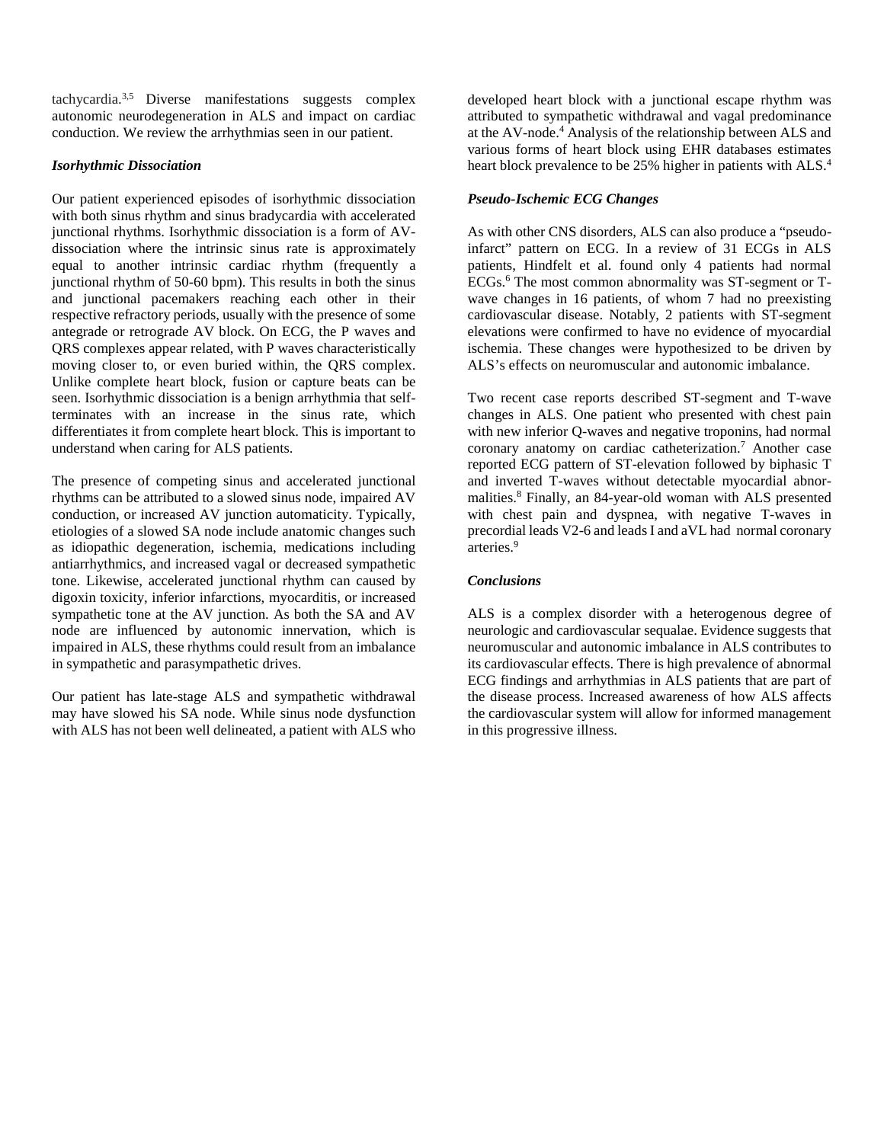tachycardia.3,5 Diverse manifestations suggests complex autonomic neurodegeneration in ALS and impact on cardiac conduction. We review the arrhythmias seen in our patient.

## *Isorhythmic Dissociation*

Our patient experienced episodes of isorhythmic dissociation with both sinus rhythm and sinus bradycardia with accelerated junctional rhythms. Isorhythmic dissociation is a form of AVdissociation where the intrinsic sinus rate is approximately equal to another intrinsic cardiac rhythm (frequently a junctional rhythm of 50-60 bpm). This results in both the sinus and junctional pacemakers reaching each other in their respective refractory periods, usually with the presence of some antegrade or retrograde AV block. On ECG, the P waves and QRS complexes appear related, with P waves characteristically moving closer to, or even buried within, the QRS complex. Unlike complete heart block, fusion or capture beats can be seen. Isorhythmic dissociation is a benign arrhythmia that selfterminates with an increase in the sinus rate, which differentiates it from complete heart block. This is important to understand when caring for ALS patients.

The presence of competing sinus and accelerated junctional rhythms can be attributed to a slowed sinus node, impaired AV conduction, or increased AV junction automaticity. Typically, etiologies of a slowed SA node include anatomic changes such as idiopathic degeneration, ischemia, medications including antiarrhythmics, and increased vagal or decreased sympathetic tone. Likewise, accelerated junctional rhythm can caused by digoxin toxicity, inferior infarctions, myocarditis, or increased sympathetic tone at the AV junction. As both the SA and AV node are influenced by autonomic innervation, which is impaired in ALS, these rhythms could result from an imbalance in sympathetic and parasympathetic drives.

Our patient has late-stage ALS and sympathetic withdrawal may have slowed his SA node. While sinus node dysfunction with ALS has not been well delineated, a patient with ALS who

developed heart block with a junctional escape rhythm was attributed to sympathetic withdrawal and vagal predominance at the AV-node.4 Analysis of the relationship between ALS and various forms of heart block using EHR databases estimates heart block prevalence to be 25% higher in patients with ALS.<sup>4</sup>

# *Pseudo-Ischemic ECG Changes*

As with other CNS disorders, ALS can also produce a "pseudoinfarct" pattern on ECG. In a review of 31 ECGs in ALS patients, Hindfelt et al. found only 4 patients had normal ECGs.6 The most common abnormality was ST-segment or Twave changes in 16 patients, of whom 7 had no preexisting cardiovascular disease. Notably, 2 patients with ST-segment elevations were confirmed to have no evidence of myocardial ischemia. These changes were hypothesized to be driven by ALS's effects on neuromuscular and autonomic imbalance.

Two recent case reports described ST-segment and T-wave changes in ALS. One patient who presented with chest pain with new inferior Q-waves and negative troponins, had normal coronary anatomy on cardiac catheterization.7 Another case reported ECG pattern of ST-elevation followed by biphasic T and inverted T-waves without detectable myocardial abnormalities.8 Finally, an 84-year-old woman with ALS presented with chest pain and dyspnea, with negative T-waves in precordial leads V2-6 and leads I and aVL had normal coronary arteries.9

# *Conclusions*

ALS is a complex disorder with a heterogenous degree of neurologic and cardiovascular sequalae. Evidence suggests that neuromuscular and autonomic imbalance in ALS contributes to its cardiovascular effects. There is high prevalence of abnormal ECG findings and arrhythmias in ALS patients that are part of the disease process. Increased awareness of how ALS affects the cardiovascular system will allow for informed management in this progressive illness.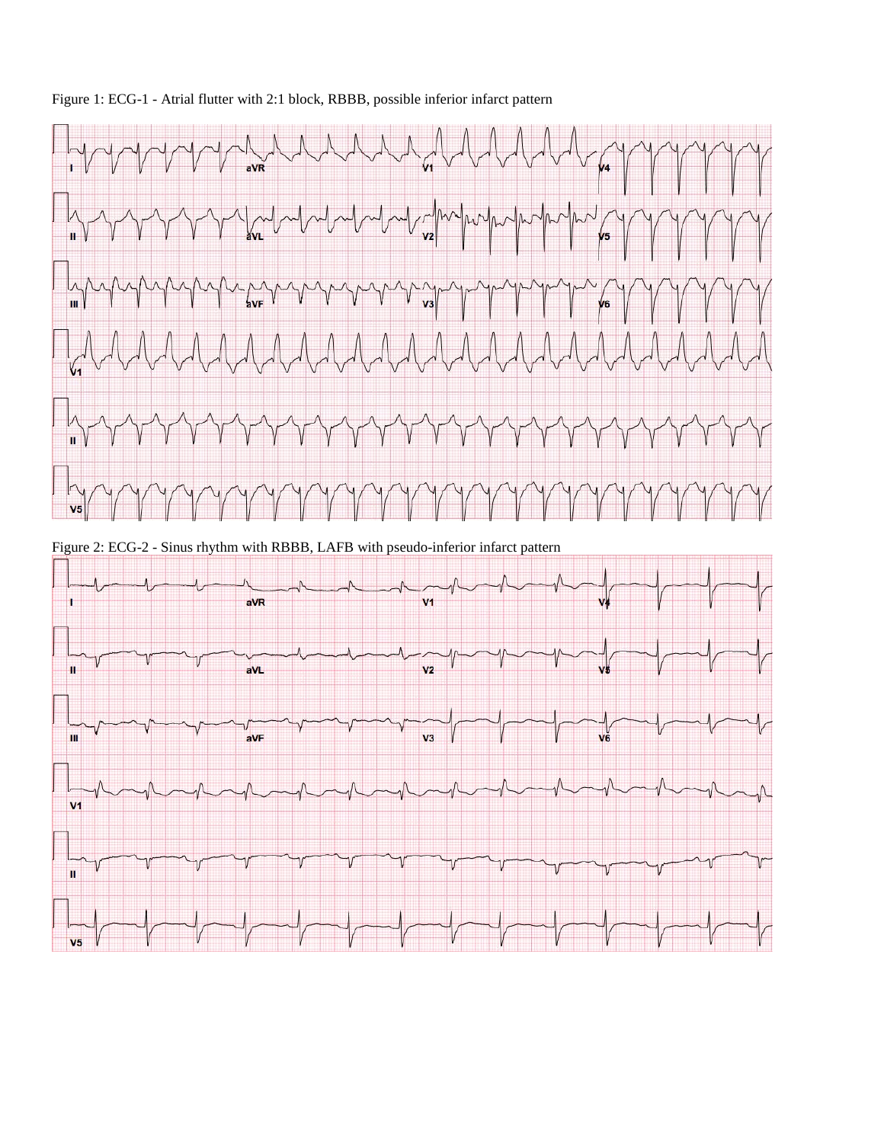



Figure 2: ECG-2 - Sinus rhythm with RBBB, LAFB with pseudo-inferior infarct pattern

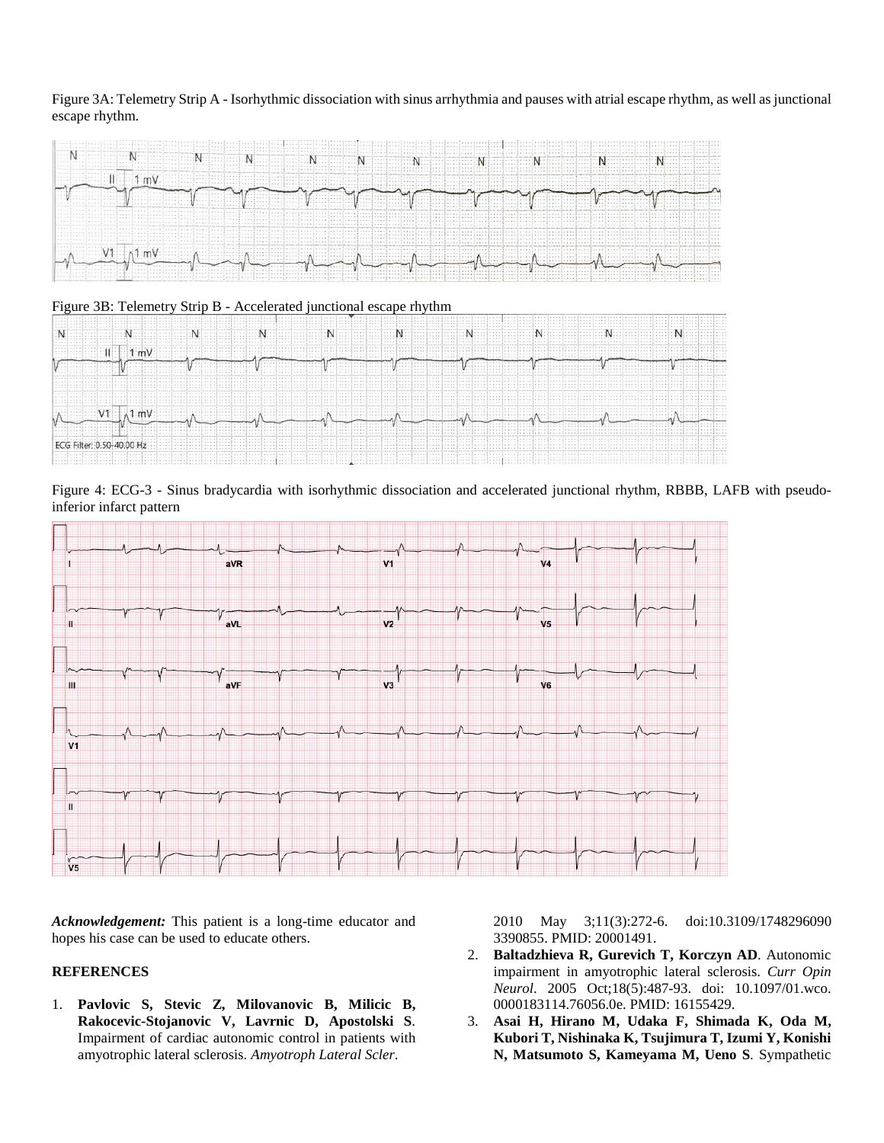# Figure 3A: Telemetry Strip A - Isorhythmic dissociation with sinus arrhythmia and pauses with atrial escape rhythm, as well as junctional escape rhythm.







Figure 4: ECG-3 - Sinus bradycardia with isorhythmic dissociation and accelerated junctional rhythm, RBBB, LAFB with pseudoinferior infarct pattern



*Acknowledgement:* This patient is a long-time educator and hopes his case can be used to educate others.

# **REFERENCES**

1. **Pavlovic S, Stevic Z, Milovanovic B, Milicic B, Rakocevic-Stojanovic V, Lavrnic D, Apostolski S**. Impairment of cardiac autonomic control in patients with amyotrophic lateral sclerosis. *Amyotroph Lateral Scler*.

2010 May 3;11(3):272-6. doi:10.3109/1748296090 3390855. PMID: 20001491.

- 2. **Baltadzhieva R, Gurevich T, Korczyn AD**. Autonomic impairment in amyotrophic lateral sclerosis. *Curr Opin Neurol*. 2005 Oct;18(5):487-93. doi: 10.1097/01.wco. 0000183114.76056.0e. PMID: 16155429.
- 3. **Asai H, Hirano M, Udaka F, Shimada K, Oda M, Kubori T, Nishinaka K, Tsujimura T, Izumi Y, Konishi N, Matsumoto S, Kameyama M, Ueno S**. Sympathetic